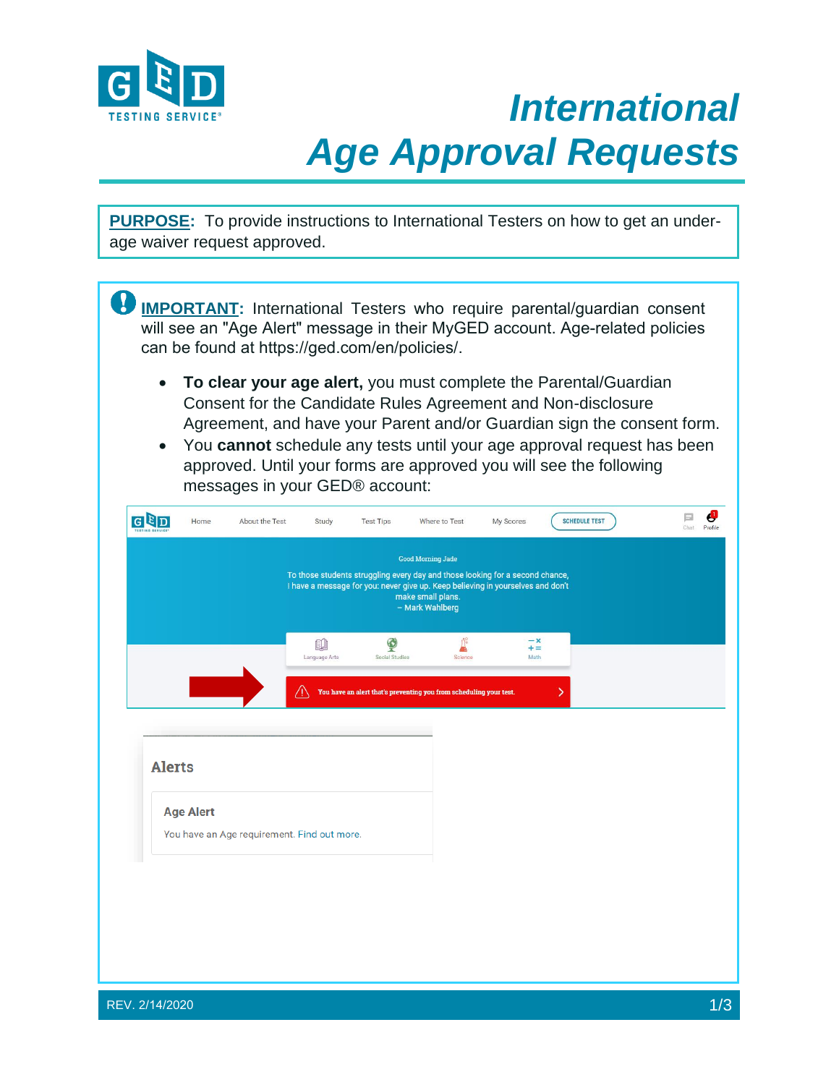

## *International Age Approval Requests*

**PURPOSE:** To provide instructions to International Testers on how to get an under-<br>209 Waiver request approved age waiver request approved.

**IMPORTANT:** International Testers who require parental/guardian consent will see an "Age Alert" message in their MyGED account. Age-related policies can be found at https://ge[d.com/en](https://ged.com/)/policies/.

- **To clear your age alert,** you must complete the Parental/Guardian Consent for the Candidate Rules Agreement and Non-disclosure Agreement, and have your Parent and/or Guardian sign the consent form.
- You **cannot** schedule any tests until your age approval request has been approved. Until your forms are approved you will see the following messages in your GED® account:

|               |                  |                                             |                     |                     | To those students struggling every day and those looking for a second chance,<br>I have a message for you: never give up. Keep believing in yourselves and don't<br>make small plans.<br>- Mark Wahlberg |                            |   |  |
|---------------|------------------|---------------------------------------------|---------------------|---------------------|----------------------------------------------------------------------------------------------------------------------------------------------------------------------------------------------------------|----------------------------|---|--|
|               |                  |                                             | 00<br>Language Arts | Q<br>Social Studies | ݰ<br>Science                                                                                                                                                                                             | $-\times$<br>$+ =$<br>Math |   |  |
|               |                  |                                             | ΛN                  |                     | You have an alert that's preventing you from scheduling your test.                                                                                                                                       |                            | X |  |
|               |                  |                                             |                     |                     |                                                                                                                                                                                                          |                            |   |  |
| <b>Alerts</b> |                  |                                             |                     |                     |                                                                                                                                                                                                          |                            |   |  |
|               | <b>Age Alert</b> | You have an Age requirement. Find out more. |                     |                     |                                                                                                                                                                                                          |                            |   |  |
|               |                  |                                             |                     |                     |                                                                                                                                                                                                          |                            |   |  |
|               |                  |                                             |                     |                     |                                                                                                                                                                                                          |                            |   |  |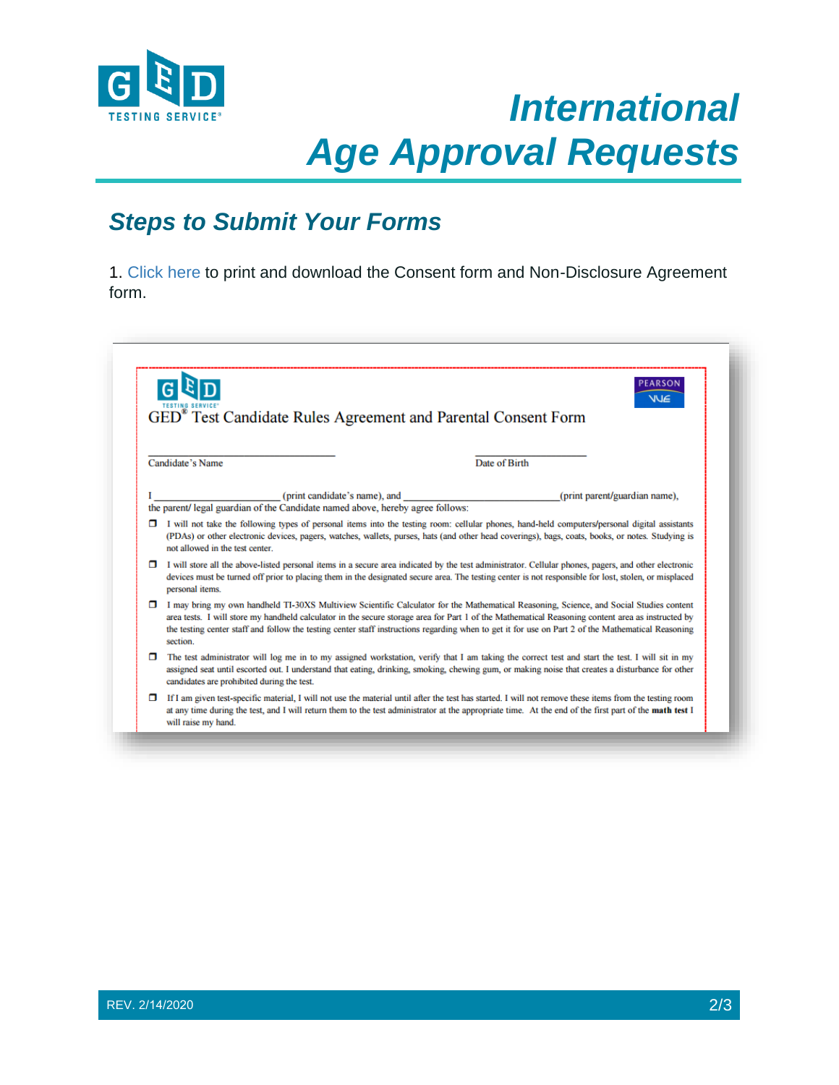

## *International Age Approval Requests*

## **Steps to Submit Your Forms**

1. [Click here](http://www.gedtestingservice.com/uploads/files/41d6f43b4c0338948a244bd1b419961b.pdf) to print and download the Consent form and Non-Disclosure Agreement form.

|   | <b>PEARSON</b><br><b>VUE</b><br>GED <sup>®</sup> Test Candidate Rules Agreement and Parental Consent Form                                                                                                                                                                                                                                                                                                                                                      |  |  |  |  |  |  |  |
|---|----------------------------------------------------------------------------------------------------------------------------------------------------------------------------------------------------------------------------------------------------------------------------------------------------------------------------------------------------------------------------------------------------------------------------------------------------------------|--|--|--|--|--|--|--|
|   | Candidate's Name<br>Date of Birth                                                                                                                                                                                                                                                                                                                                                                                                                              |  |  |  |  |  |  |  |
|   | (print candidate's name), and<br>(print parent/guardian name),<br>the parent/ legal guardian of the Candidate named above, hereby agree follows:                                                                                                                                                                                                                                                                                                               |  |  |  |  |  |  |  |
| □ | I will not take the following types of personal items into the testing room: cellular phones, hand-held computers/personal digital assistants<br>(PDAs) or other electronic devices, pagers, watches, wallets, purses, hats (and other head coverings), bags, coats, books, or notes. Studying is<br>not allowed in the test center                                                                                                                            |  |  |  |  |  |  |  |
| 0 | I will store all the above-listed personal items in a secure area indicated by the test administrator. Cellular phones, pagers, and other electronic<br>devices must be turned off prior to placing them in the designated secure area. The testing center is not responsible for lost, stolen, or misplaced<br>personal items.                                                                                                                                |  |  |  |  |  |  |  |
| o | I may bring my own handheld TI-30XS Multiview Scientific Calculator for the Mathematical Reasoning, Science, and Social Studies content<br>area tests. I will store my handheld calculator in the secure storage area for Part 1 of the Mathematical Reasoning content area as instructed by<br>the testing center staff and follow the testing center staff instructions regarding when to get it for use on Part 2 of the Mathematical Reasoning<br>section. |  |  |  |  |  |  |  |
| п | The test administrator will log me in to my assigned workstation, verify that I am taking the correct test and start the test. I will sit in my<br>assigned seat until escorted out. I understand that eating, drinking, smoking, chewing gum, or making noise that creates a disturbance for other<br>candidates are prohibited during the test.                                                                                                              |  |  |  |  |  |  |  |
| α | If I am given test-specific material, I will not use the material until after the test has started. I will not remove these items from the testing room<br>at any time during the test, and I will return them to the test administrator at the appropriate time. At the end of the first part of the math test I<br>will raise my hand.                                                                                                                       |  |  |  |  |  |  |  |